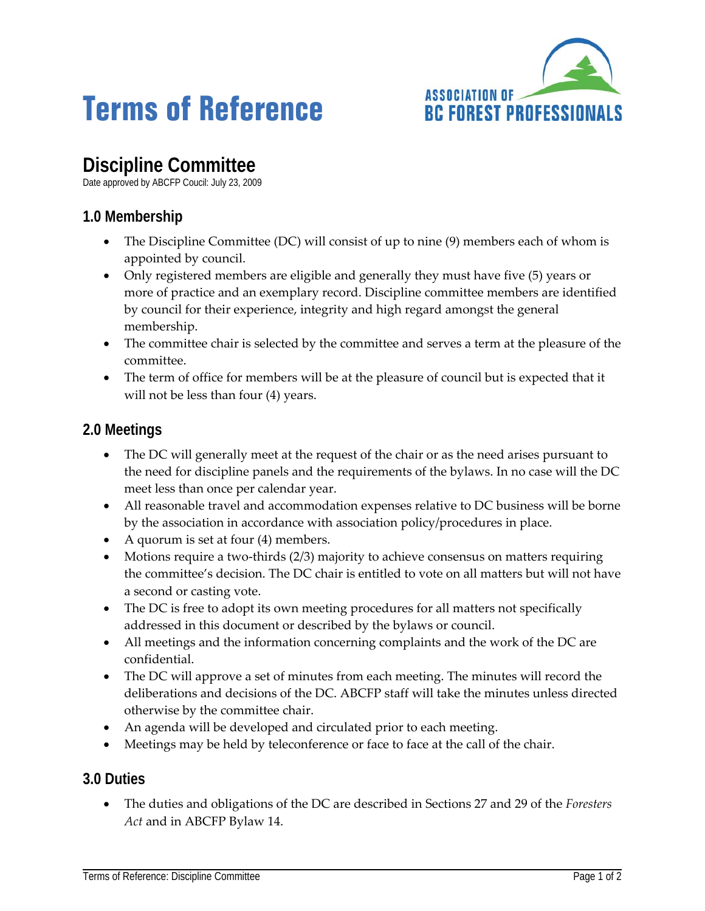# **Terms of Reference**



# **Discipline Committee**

Date approved by ABCFP Coucil: July 23, 2009

## **1.0 Membership**

- The Discipline Committee (DC) will consist of up to nine (9) members each of whom is appointed by council.
- Only registered members are eligible and generally they must have five (5) years or more of practice and an exemplary record. Discipline committee members are identified by council for their experience, integrity and high regard amongst the general membership.
- The committee chair is selected by the committee and serves a term at the pleasure of the committee.
- The term of office for members will be at the pleasure of council but is expected that it will not be less than four (4) years.

### **2.0 Meetings**

- The DC will generally meet at the request of the chair or as the need arises pursuant to the need for discipline panels and the requirements of the bylaws. In no case will the DC meet less than once per calendar year.
- All reasonable travel and accommodation expenses relative to DC business will be borne by the association in accordance with association policy/procedures in place.
- A quorum is set at four (4) members.
- Motions require a two-thirds  $(2/3)$  majority to achieve consensus on matters requiring the committee's decision. The DC chair is entitled to vote on all matters but will not have a second or casting vote.
- The DC is free to adopt its own meeting procedures for all matters not specifically addressed in this document or described by the bylaws or council.
- All meetings and the information concerning complaints and the work of the DC are confidential.
- The DC will approve a set of minutes from each meeting. The minutes will record the deliberations and decisions of the DC. ABCFP staff will take the minutes unless directed otherwise by the committee chair.
- An agenda will be developed and circulated prior to each meeting.
- Meetings may be held by teleconference or face to face at the call of the chair.

### **3.0 Duties**

• The duties and obligations of the DC are described in Sections 27 and 29 of the *Foresters Act* and in ABCFP Bylaw 14.